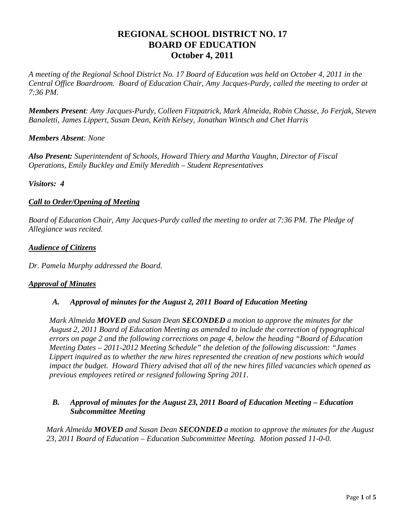# **REGIONAL SCHOOL DISTRICT NO. 17 BOARD OF EDUCATION October 4, 2011**

*A meeting of the Regional School District No. 17 Board of Education was held on October 4, 2011 in the Central Office Boardroom. Board of Education Chair, Amy Jacques-Purdy, called the meeting to order at 7:36 PM.* 

*Members Present: Amy Jacques-Purdy, Colleen Fitzpatrick, Mark Almeida, Robin Chasse, Jo Ferjak, Steven Banaletti, James Lippert, Susan Dean, Keith Kelsey, Jonathan Wintsch and Chet Harris* 

## *Members Absent: None*

*Also Present: Superintendent of Schools, Howard Thiery and Martha Vaughn, Director of Fiscal Operations, Emily Buckley and Emily Meredith – Student Representatives* 

### *Visitors: 4*

### *Call to Order/Opening of Meeting*

*Board of Education Chair, Amy Jacques-Purdy called the meeting to order at 7:36 PM. The Pledge of Allegiance was recited.* 

#### *Audience of Citizens*

*Dr. Pamela Murphy addressed the Board.* 

### *Approval of Minutes*

### *A. Approval of minutes for the August 2, 2011 Board of Education Meeting*

*Mark Almeida MOVED and Susan Dean SECONDED a motion to approve the minutes for the August 2, 2011 Board of Education Meeting as amended to include the correction of typographical errors on page 2 and the following corrections on page 4, below the heading "Board of Education Meeting Dates – 2011-2012 Meeting Schedule" the deletion of the following discussion: "James Lippert inquired as to whether the new hires represented the creation of new postions which would impact the budget. Howard Thiery advised that all of the new hires filled vacancies which opened as previous employees retired or resigned following Spring 2011.* 

### *B. Approval of minutes for the August 23, 2011 Board of Education Meeting – Education Subcommittee Meeting*

*Mark Almeida MOVED and Susan Dean SECONDED a motion to approve the minutes for the August 23, 2011 Board of Education – Education Subcommittee Meeting. Motion passed 11-0-0.*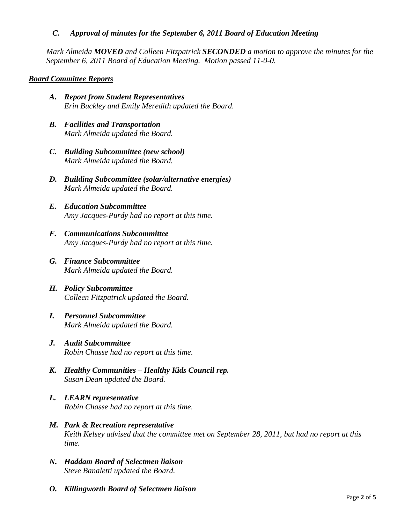## *C. Approval of minutes for the September 6, 2011 Board of Education Meeting*

*Mark Almeida MOVED and Colleen Fitzpatrick SECONDED a motion to approve the minutes for the September 6, 2011 Board of Education Meeting. Motion passed 11-0-0.* 

## *Board Committee Reports*

- *A. Report from Student Representatives Erin Buckley and Emily Meredith updated the Board.*
- *B. Facilities and Transportation Mark Almeida updated the Board.*
- *C. Building Subcommittee (new school) Mark Almeida updated the Board.*
- *D. Building Subcommittee (solar/alternative energies) Mark Almeida updated the Board.*
- *E. Education Subcommittee Amy Jacques-Purdy had no report at this time.*
- *F. Communications Subcommittee Amy Jacques-Purdy had no report at this time.*
- *G. Finance Subcommittee Mark Almeida updated the Board.*
- *H. Policy Subcommittee Colleen Fitzpatrick updated the Board.*
- *I. Personnel Subcommittee Mark Almeida updated the Board.*
- *J. Audit Subcommittee Robin Chasse had no report at this time.*
- *K. Healthy Communities Healthy Kids Council rep. Susan Dean updated the Board.*
- *L. LEARN representative Robin Chasse had no report at this time.*
- *M. Park & Recreation representative Keith Kelsey advised that the committee met on September 28, 2011, but had no report at this time.*
- *N. Haddam Board of Selectmen liaison Steve Banaletti updated the Board.*
- *O. Killingworth Board of Selectmen liaison*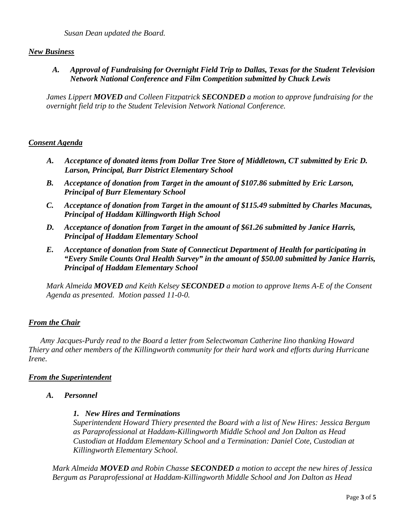## *New Business*

*A. Approval of Fundraising for Overnight Field Trip to Dallas, Texas for the Student Television Network National Conference and Film Competition submitted by Chuck Lewis* 

*James Lippert MOVED and Colleen Fitzpatrick SECONDED a motion to approve fundraising for the overnight field trip to the Student Television Network National Conference.* 

## *Consent Agenda*

- *A. Acceptance of donated items from Dollar Tree Store of Middletown, CT submitted by Eric D. Larson, Principal, Burr District Elementary School*
- *B. Acceptance of donation from Target in the amount of \$107.86 submitted by Eric Larson, Principal of Burr Elementary School*
- *C. Acceptance of donation from Target in the amount of \$115.49 submitted by Charles Macunas, Principal of Haddam Killingworth High School*
- *D. Acceptance of donation from Target in the amount of \$61.26 submitted by Janice Harris, Principal of Haddam Elementary School*
- *E. Acceptance of donation from State of Connecticut Department of Health for participating in "Every Smile Counts Oral Health Survey" in the amount of \$50.00 submitted by Janice Harris, Principal of Haddam Elementary School*

*Mark Almeida MOVED and Keith Kelsey SECONDED a motion to approve Items A-E of the Consent Agenda as presented. Motion passed 11-0-0.* 

## *From the Chair*

*Amy Jacques-Purdy read to the Board a letter from Selectwoman Catherine Iino thanking Howard Thiery and other members of the Killingworth community for their hard work and efforts during Hurricane Irene.* 

### *From the Superintendent*

*A. Personnel* 

### *1. New Hires and Terminations*

*Superintendent Howard Thiery presented the Board with a list of New Hires: Jessica Bergum as Paraprofessional at Haddam-Killingworth Middle School and Jon Dalton as Head Custodian at Haddam Elementary School and a Termination: Daniel Cote, Custodian at Killingworth Elementary School.* 

*Mark Almeida MOVED and Robin Chasse SECONDED a motion to accept the new hires of Jessica Bergum as Paraprofessional at Haddam-Killingworth Middle School and Jon Dalton as Head*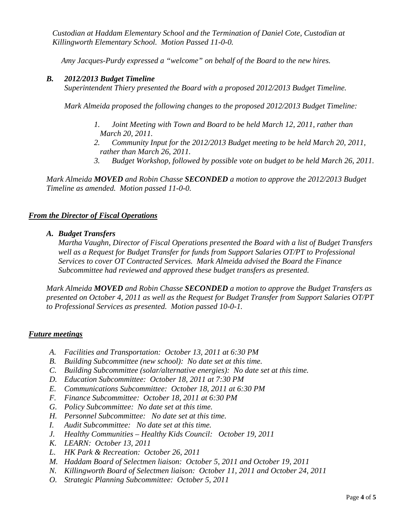*Custodian at Haddam Elementary School and the Termination of Daniel Cote, Custodian at Killingworth Elementary School. Motion Passed 11-0-0.* 

 *Amy Jacques-Purdy expressed a "welcome" on behalf of the Board to the new hires.* 

## *B. 2012/2013 Budget Timeline*

*Superintendent Thiery presented the Board with a proposed 2012/2013 Budget Timeline.* 

*Mark Almeida proposed the following changes to the proposed 2012/2013 Budget Timeline:* 

- *1. Joint Meeting with Town and Board to be held March 12, 2011, rather than March 20, 2011.*
- *2. Community Input for the 2012/2013 Budget meeting to be held March 20, 2011, rather than March 26, 2011.*
- *3. Budget Workshop, followed by possible vote on budget to be held March 26, 2011.*

*Mark Almeida MOVED and Robin Chasse SECONDED a motion to approve the 2012/2013 Budget Timeline as amended. Motion passed 11-0-0.* 

## *From the Director of Fiscal Operations*

*A. Budget Transfers* 

*Martha Vaughn, Director of Fiscal Operations presented the Board with a list of Budget Transfers well as a Request for Budget Transfer for funds from Support Salaries OT/PT to Professional Services to cover OT Contracted Services. Mark Almeida advised the Board the Finance Subcommittee had reviewed and approved these budget transfers as presented.* 

*Mark Almeida MOVED and Robin Chasse SECONDED a motion to approve the Budget Transfers as presented on October 4, 2011 as well as the Request for Budget Transfer from Support Salaries OT/PT to Professional Services as presented. Motion passed 10-0-1.* 

### *Future meetings*

- *A. Facilities and Transportation: October 13, 2011 at 6:30 PM*
- *B. Building Subcommittee (new school): No date set at this time.*
- *C. Building Subcommittee (solar/alternative energies): No date set at this time.*
- *D. Education Subcommittee: October 18, 2011 at 7:30 PM*
- *E. Communications Subcommittee: October 18, 2011 at 6:30 PM*
- *F. Finance Subcommittee: October 18, 2011 at 6:30 PM*
- *G. Policy Subcommittee: No date set at this time.*
- *H. Personnel Subcommittee: No date set at this time.*
- *I. Audit Subcommittee: No date set at this time.*
- *J. Healthy Communities Healthy Kids Council: October 19, 2011*
- *K. LEARN: October 13, 2011*
- *L. HK Park & Recreation: October 26, 2011*
- *M. Haddam Board of Selectmen liaison: October 5, 2011 and October 19, 2011*
- *N. Killingworth Board of Selectmen liaison: October 11, 2011 and October 24, 2011*
- *O. Strategic Planning Subcommittee: October 5, 2011*